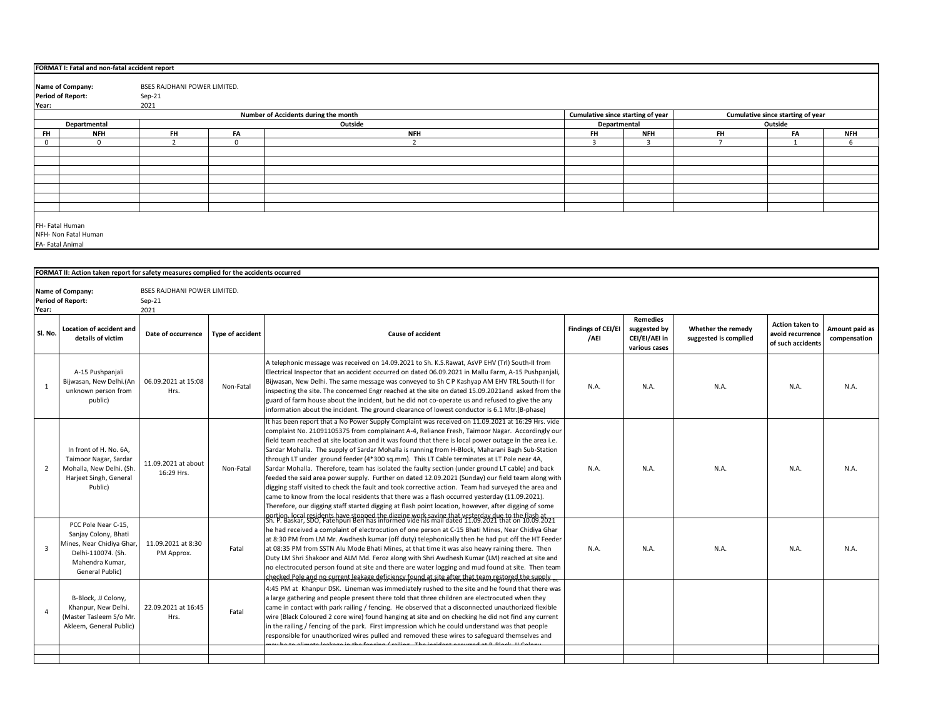|                                                                           | FORMAT I: Fatal and non-fatal accident report |                              |          |            |              |            |                                   |         |            |  |  |
|---------------------------------------------------------------------------|-----------------------------------------------|------------------------------|----------|------------|--------------|------------|-----------------------------------|---------|------------|--|--|
|                                                                           |                                               |                              |          |            |              |            |                                   |         |            |  |  |
|                                                                           | Name of Company:                              | BSES RAJDHANI POWER LIMITED. |          |            |              |            |                                   |         |            |  |  |
|                                                                           | <b>Period of Report:</b>                      | Sep-21                       |          |            |              |            |                                   |         |            |  |  |
| Year:                                                                     |                                               | 2021                         |          |            |              |            |                                   |         |            |  |  |
| Number of Accidents during the month<br>Cumulative since starting of year |                                               |                              |          |            |              |            | Cumulative since starting of year |         |            |  |  |
|                                                                           | Departmental                                  |                              |          | Outside    | Departmental |            |                                   | Outside |            |  |  |
| <b>FH</b>                                                                 | <b>NFH</b>                                    | <b>FH</b>                    | FA       | <b>NFH</b> | <b>FH</b>    | <b>NFH</b> | <b>FH</b>                         | FA      | <b>NFH</b> |  |  |
|                                                                           |                                               |                              | $\Omega$ |            |              | 3          |                                   |         | h          |  |  |
|                                                                           |                                               |                              |          |            |              |            |                                   |         |            |  |  |
|                                                                           |                                               |                              |          |            |              |            |                                   |         |            |  |  |
|                                                                           |                                               |                              |          |            |              |            |                                   |         |            |  |  |
|                                                                           |                                               |                              |          |            |              |            |                                   |         |            |  |  |
|                                                                           |                                               |                              |          |            |              |            |                                   |         |            |  |  |
|                                                                           |                                               |                              |          |            |              |            |                                   |         |            |  |  |
|                                                                           |                                               |                              |          |            |              |            |                                   |         |            |  |  |
|                                                                           |                                               |                              |          |            |              |            |                                   |         |            |  |  |
|                                                                           | FH- Fatal Human                               |                              |          |            |              |            |                                   |         |            |  |  |
|                                                                           | NFH- Non Fatal Human                          |                              |          |            |              |            |                                   |         |            |  |  |
|                                                                           | FA-Fatal Animal                               |                              |          |            |              |            |                                   |         |            |  |  |
|                                                                           |                                               |                              |          |            |              |            |                                   |         |            |  |  |

|                | FORMAT II: Action taken report for safety measures complied for the accidents occurred                                                     |                                                         |                         |                                                                                                                                                                                                                                                                                                                                                                                                                                                                                                                                                                                                                                                                                                                                                                                                                                                                                                                                                                                                                                         |                                   |                                                                   |                                             |                                                                 |                                |
|----------------|--------------------------------------------------------------------------------------------------------------------------------------------|---------------------------------------------------------|-------------------------|-----------------------------------------------------------------------------------------------------------------------------------------------------------------------------------------------------------------------------------------------------------------------------------------------------------------------------------------------------------------------------------------------------------------------------------------------------------------------------------------------------------------------------------------------------------------------------------------------------------------------------------------------------------------------------------------------------------------------------------------------------------------------------------------------------------------------------------------------------------------------------------------------------------------------------------------------------------------------------------------------------------------------------------------|-----------------------------------|-------------------------------------------------------------------|---------------------------------------------|-----------------------------------------------------------------|--------------------------------|
| Year:          | Name of Company:<br><b>Period of Report:</b>                                                                                               | <b>BSES RAJDHANI POWER LIMITED.</b><br>$Sep-21$<br>2021 |                         |                                                                                                                                                                                                                                                                                                                                                                                                                                                                                                                                                                                                                                                                                                                                                                                                                                                                                                                                                                                                                                         |                                   |                                                                   |                                             |                                                                 |                                |
| Sl. No.        | <b>Location of accident and</b><br>details of victim                                                                                       | Date of occurrence                                      | <b>Type of accident</b> | <b>Cause of accident</b>                                                                                                                                                                                                                                                                                                                                                                                                                                                                                                                                                                                                                                                                                                                                                                                                                                                                                                                                                                                                                | <b>Findings of CEI/EI</b><br>/AEI | <b>Remedies</b><br>suggested by<br>CEI/EI/AEI in<br>various cases | Whether the remedy<br>suggested is complied | <b>Action taken to</b><br>avoid recurrence<br>of such accidents | Amount paid as<br>compensation |
| $\mathbf{1}$   | A-15 Pushpanjali<br>Bijwasan, New Delhi.(An<br>unknown person from<br>public)                                                              | 06.09.2021 at 15:08<br>Hrs.                             | Non-Fatal               | A telephonic message was received on 14.09.2021 to Sh. K.S.Rawat, AsVP EHV (Trl) South-II from<br>Electrical Inspector that an accident occurred on dated 06.09.2021 in Mallu Farm, A-15 Pushpanjali,<br>Bijwasan, New Delhi. The same message was conveyed to Sh C P Kashyap AM EHV TRL South-II for<br>inspecting the site. The concerned Engr reached at the site on dated 15.09.2021and asked from the<br>guard of farm house about the incident, but he did not co-operate us and refused to give the any<br>information about the incident. The ground clearance of lowest conductor is 6.1 Mtr.(B-phase)                                                                                                                                                                                                                                                                                                                                                                                                                         | N.A.                              | N.A.                                                              | N.A.                                        | N.A.                                                            | N.A.                           |
| $\overline{2}$ | In front of H. No. 6A.<br>Taimoor Nagar, Sardar<br>Mohalla, New Delhi. (Sh.<br>Harjeet Singh, General<br>Public)                           | 11.09.2021 at about<br>16:29 Hrs.                       | Non-Fatal               | It has been report that a No Power Supply Complaint was received on 11.09.2021 at 16:29 Hrs. vide<br>complaint No. 21091105375 from complainant A-4, Reliance Fresh, Taimoor Nagar. Accordingly our<br>field team reached at site location and it was found that there is local power outage in the area i.e.<br>Sardar Mohalla. The supply of Sardar Mohalla is running from H-Block, Maharani Bagh Sub-Station<br>through LT under ground feeder (4*300 sq.mm). This LT Cable terminates at LT Pole near 4A,<br>Sardar Mohalla. Therefore, team has isolated the faulty section (under ground LT cable) and back<br>feeded the said area power supply. Further on dated 12.09.2021 (Sunday) our field team along with<br>digging staff visited to check the fault and took corrective action. Team had surveyed the area and<br>came to know from the local residents that there was a flash occurred yesterday (11.09.2021).<br>Therefore, our digging staff started digging at flash point location, however, after digging of some | N.A.                              | N.A.                                                              | N.A.                                        | N.A.                                                            | N.A.                           |
| $\overline{3}$ | PCC Pole Near C-15.<br>Sanjay Colony, Bhati<br>Mines, Near Chidiya Ghar<br>Delhi-110074. (Sh.<br>Mahendra Kumar.<br><b>General Public)</b> | 11.09.2021 at 8:30<br>PM Approx.                        | Fatal                   | nortion. local residents have stonned the digging work saving that vesterday due to the flash at<br>Sh. P. Baskar, SDO, Fatehpuri Beri has informed vide his mail dated 11.09.2021 that on 10.09.2021<br>he had received a complaint of electrocution of one person at C-15 Bhati Mines, Near Chidiya Ghar<br>at 8:30 PM from LM Mr. Awdhesh kumar (off duty) telephonically then he had put off the HT Feeder<br>at 08:35 PM from SSTN Alu Mode Bhati Mines, at that time it was also heavy raining there. Then<br>Duty LM Shri Shakoor and ALM Md. Feroz along with Shri Awdhesh Kumar (LM) reached at site and<br>no electrocuted person found at site and there are water logging and mud found at site. Then team<br>.<br><del>L'YEGKEN POLA ABEL EO GYKENT LE B<sup>L</sup>BBC RE TI LENGKÝ, KNA AJ NË RASTEL LINE LENTING, I SYSLEME EUNNY at</del>                                                                                                                                                                              | N.A.                              | N.A.                                                              | N.A.                                        | N.A.                                                            | N.A.                           |
| $\Delta$       | B-Block, JJ Colony,<br>Khanpur, New Delhi.<br>(Master Tasleem S/o Mr.<br>Akleem, General Public)                                           | 22.09.2021 at 16:45<br>Hrs.                             | Fatal                   | 4:45 PM at Khanpur DSK. Lineman was immediately rushed to the site and he found that there was<br>a large gathering and people present there told that three children are electrocuted when they<br>came in contact with park railing / fencing. He observed that a disconnected unauthorized flexible<br>wire (Black Coloured 2 core wire) found hanging at site and on checking he did not find any current<br>in the railing / fencing of the park. First impression which he could understand was that people<br>responsible for unauthorized wires pulled and removed these wires to safeguard themselves and                                                                                                                                                                                                                                                                                                                                                                                                                      |                                   |                                                                   |                                             |                                                                 |                                |
|                |                                                                                                                                            |                                                         |                         |                                                                                                                                                                                                                                                                                                                                                                                                                                                                                                                                                                                                                                                                                                                                                                                                                                                                                                                                                                                                                                         |                                   |                                                                   |                                             |                                                                 |                                |
|                |                                                                                                                                            |                                                         |                         |                                                                                                                                                                                                                                                                                                                                                                                                                                                                                                                                                                                                                                                                                                                                                                                                                                                                                                                                                                                                                                         |                                   |                                                                   |                                             |                                                                 |                                |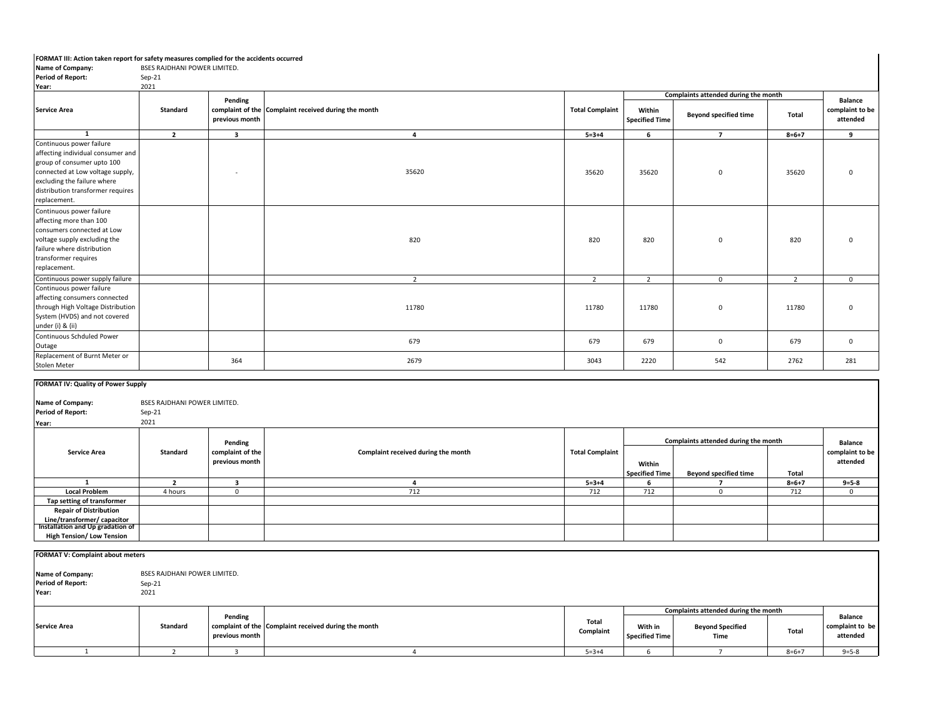## **FORMAT III: Action taken report for safety measures complied for the accidents occurred**

| Name of Company:                                                                                                                                                                                        | BSES RAJDHANI POWER LIMITED.                     |                             |                                                      |                        |                                 |                                      |                |                                               |
|---------------------------------------------------------------------------------------------------------------------------------------------------------------------------------------------------------|--------------------------------------------------|-----------------------------|------------------------------------------------------|------------------------|---------------------------------|--------------------------------------|----------------|-----------------------------------------------|
| <b>Period of Report:</b>                                                                                                                                                                                | $Sep-21$                                         |                             |                                                      |                        |                                 |                                      |                |                                               |
| Year:                                                                                                                                                                                                   | 2021                                             |                             |                                                      |                        |                                 | Complaints attended during the month |                |                                               |
| <b>Service Area</b>                                                                                                                                                                                     | <b>Standard</b>                                  | Pending<br>previous month   | complaint of the Complaint received during the month | <b>Total Complaint</b> | Within<br><b>Specified Time</b> | <b>Beyond specified time</b>         | Total          | <b>Balance</b><br>complaint to be<br>attended |
| $\mathbf{1}$                                                                                                                                                                                            | $\overline{2}$                                   | $\overline{\mathbf{3}}$     | $\overline{4}$                                       | $5 = 3 + 4$            | 6                               | $\overline{7}$                       | $8 = 6 + 7$    | 9                                             |
| Continuous power failure<br>affecting individual consumer and<br>group of consumer upto 100<br>connected at Low voltage supply,<br>excluding the failure where<br>distribution transformer requires     |                                                  | ۰                           | 35620                                                | 35620                  | 35620                           | 0                                    | 35620          | $\mathsf 0$                                   |
| replacement.<br>Continuous power failure<br>affecting more than 100<br>consumers connected at Low<br>voltage supply excluding the<br>failure where distribution<br>transformer requires<br>replacement. |                                                  |                             | 820                                                  | 820                    | 820                             | $\mathbf 0$                          | 820            | $\mathbf 0$                                   |
| Continuous power supply failure                                                                                                                                                                         |                                                  |                             | $\overline{2}$                                       | $\overline{2}$         | $\overline{2}$                  | $\mathbf{0}$                         | $\overline{2}$ | $\Omega$                                      |
| Continuous power failure<br>affecting consumers connected<br>through High Voltage Distribution<br>System (HVDS) and not covered<br>under (i) & (ii)                                                     |                                                  |                             | 11780                                                | 11780                  | 11780                           | $\mathbf 0$                          | 11780          | $\mathbf 0$                                   |
| Continuous Schduled Power<br>Outage                                                                                                                                                                     |                                                  |                             | 679                                                  | 679                    | 679                             | $\mathbf{0}$                         | 679            | $\mathbf{0}$                                  |
| Replacement of Burnt Meter or<br>Stolen Meter                                                                                                                                                           |                                                  | 364                         | 2679                                                 | 3043                   | 2220                            | 542                                  | 2762           | 281                                           |
| FORMAT IV: Quality of Power Supply<br>Name of Company:<br><b>Period of Report:</b><br>Year:                                                                                                             | BSES RAJDHANI POWER LIMITED.<br>$Sep-21$<br>2021 |                             |                                                      |                        |                                 |                                      |                |                                               |
|                                                                                                                                                                                                         |                                                  |                             |                                                      |                        |                                 |                                      |                |                                               |
| <b>Service Area</b>                                                                                                                                                                                     | Standard                                         | Pending<br>complaint of the | Complaint received during the month                  | <b>Total Complaint</b> |                                 | Complaints attended during the month |                | <b>Balance</b><br>complaint to be             |

|                                  |          | Pending          |                                     |                        |                       | complaints attenued during the month. |             | Balance         |
|----------------------------------|----------|------------------|-------------------------------------|------------------------|-----------------------|---------------------------------------|-------------|-----------------|
| <b>Service Area</b>              | Standard | complaint of the | Complaint received during the month | <b>Total Complaint</b> |                       |                                       |             | complaint to be |
|                                  |          | previous month   |                                     |                        | Within                |                                       |             | attended        |
|                                  |          |                  |                                     |                        | <b>Specified Time</b> | <b>Beyond specified time</b>          | Total       |                 |
|                                  |          |                  |                                     | $5 = 3 + 4$            |                       |                                       | $8 = 6 + 7$ | $9 = 5 - 8$     |
| <b>Local Problem</b>             | 4 hours  |                  | 712                                 | 712                    | 712                   |                                       | 712         |                 |
| Tap setting of transformer       |          |                  |                                     |                        |                       |                                       |             |                 |
| <b>Repair of Distribution</b>    |          |                  |                                     |                        |                       |                                       |             |                 |
| Line/transformer/ capacitor      |          |                  |                                     |                        |                       |                                       |             |                 |
| Installation and Up gradation of |          |                  |                                     |                        |                       |                                       |             |                 |
| <b>High Tension/ Low Tension</b> |          |                  |                                     |                        |                       |                                       |             |                 |

| <b>FORMAT V: Complaint about meters</b>               |                                                  |                           |                                                      |                    |                                  |                                                                         |         |                                               |
|-------------------------------------------------------|--------------------------------------------------|---------------------------|------------------------------------------------------|--------------------|----------------------------------|-------------------------------------------------------------------------|---------|-----------------------------------------------|
| Name of Company:<br><b>Period of Report:</b><br>Year: | BSES RAJDHANI POWER LIMITED.<br>$Sep-21$<br>2021 |                           |                                                      |                    |                                  |                                                                         |         |                                               |
| <b>Service Area</b>                                   | Standard                                         | Pending<br>previous month | complaint of the Complaint received during the month | Total<br>Complaint | With in<br><b>Specified Time</b> | Complaints attended during the month<br><b>Beyond Specified</b><br>Time | Total   | <b>Balance</b><br>complaint to be<br>attended |
|                                                       |                                                  |                           |                                                      | $5 = 3 + 4$        |                                  |                                                                         | $8=6+7$ | $9 = 5 - 8$                                   |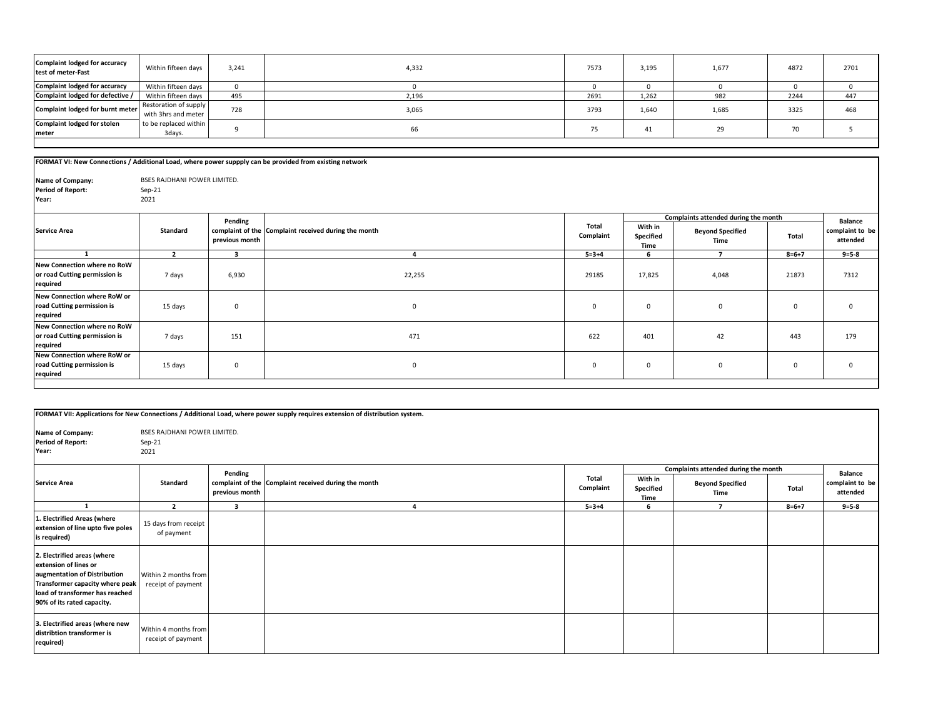| Complaint lodged for accuracy<br>test of meter-Fast | Within fifteen days                          | 3,241 | 4,332 | 7573 | 3,195 | 1,677 | 4872 | 2701 |
|-----------------------------------------------------|----------------------------------------------|-------|-------|------|-------|-------|------|------|
| <b>Complaint lodged for accuracy</b>                | Within fifteen days                          |       |       |      |       |       |      |      |
| Complaint lodged for defective /                    | Within fifteen days                          | 495   | 2,196 | 2691 | 1,262 | 982   | 2244 | 447  |
| Complaint lodged for burnt meter                    | Restoration of supply<br>with 3hrs and meter | 728   | 3,065 | 3793 | 1,640 | 1,685 | 3325 | 468  |
| <b>Complaint lodged for stolen</b><br>meter         | to be replaced within<br>3days.              |       | 66    | 75   | 41    | 29    | 70   |      |
|                                                     |                                              |       |       |      |       |       |      |      |

**complaint to be attended** 

|                                                                          |                              |                | FORMAT VI: New Connections / Additional Load, where power suppply can be provided from existing network |                    |                                      |                                 |                |                          |
|--------------------------------------------------------------------------|------------------------------|----------------|---------------------------------------------------------------------------------------------------------|--------------------|--------------------------------------|---------------------------------|----------------|--------------------------|
|                                                                          |                              |                |                                                                                                         |                    |                                      |                                 |                |                          |
| Name of Company:                                                         | BSES RAJDHANI POWER LIMITED. |                |                                                                                                         |                    |                                      |                                 |                |                          |
| <b>Period of Report:</b>                                                 | $Sep-21$                     |                |                                                                                                         |                    |                                      |                                 |                |                          |
| Year:                                                                    | 2021                         |                |                                                                                                         |                    |                                      |                                 |                |                          |
|                                                                          |                              | Pending        |                                                                                                         |                    | Complaints attended during the month |                                 | <b>Balance</b> |                          |
| <b>Service Area</b>                                                      | <b>Standard</b>              | previous month | complaint of the Complaint received during the month                                                    | Total<br>Complaint | With in<br>Specified<br>Time         | <b>Beyond Specified</b><br>Time | Total          | complaint to<br>attended |
|                                                                          | $\overline{2}$               | 3              | 4                                                                                                       | $5 = 3 + 4$        | 6                                    |                                 | $8 = 6 + 7$    | $9 = 5 - 8$              |
| New Connection where no RoW<br>or road Cutting permission is<br>required | 7 days                       | 6,930          | 22,255                                                                                                  | 29185              | 17,825                               | 4,048                           | 21873          | 7312                     |
| New Connection where RoW or<br>road Cutting permission is<br>required    | 15 days                      | 0              | 0                                                                                                       | $\Omega$           | $\mathbf 0$                          | $\mathbf{0}$                    | $\mathbf 0$    | $\mathbf 0$              |
| New Connection where no RoW<br>or road Cutting permission is<br>required | 7 days                       | 151            | 471                                                                                                     | 622                | 401                                  | 42                              | 443            | 179                      |
| New Connection where RoW or<br>road Cutting permission is                | 15 days                      | 0              | 0                                                                                                       | $^{\circ}$         | $\mathbf{0}$                         | $\mathbf{0}$                    | $\mathbf 0$    | $\mathbf 0$              |

**required**

| FORMAT VII: Applications for New Connections / Additional Load, where power supply requires extension of distribution system.                                                            |                                                         |                         |                                                      |                    |                              |                                      |             |                             |  |
|------------------------------------------------------------------------------------------------------------------------------------------------------------------------------------------|---------------------------------------------------------|-------------------------|------------------------------------------------------|--------------------|------------------------------|--------------------------------------|-------------|-----------------------------|--|
| Name of Company:<br><b>Period of Report:</b><br>Year:                                                                                                                                    | <b>BSES RAJDHANI POWER LIMITED.</b><br>$Sep-21$<br>2021 |                         |                                                      |                    |                              |                                      |             |                             |  |
|                                                                                                                                                                                          |                                                         | Pending                 |                                                      |                    |                              | Complaints attended during the month |             | <b>Balance</b>              |  |
| <b>Service Area</b>                                                                                                                                                                      | Standard                                                | previous month          | complaint of the Complaint received during the month | Total<br>Complaint | With in<br>Specified<br>Time | <b>Beyond Specified</b><br>Time      | Total       | complaint to be<br>attended |  |
|                                                                                                                                                                                          | $\overline{2}$                                          | $\overline{\mathbf{3}}$ |                                                      | $5 = 3 + 4$        | 6                            | $\overline{7}$                       | $8 = 6 + 7$ | $9 = 5 - 8$                 |  |
| 1. Electrified Areas (where<br>extension of line upto five poles<br>is required)                                                                                                         | 15 days from receipt<br>of payment                      |                         |                                                      |                    |                              |                                      |             |                             |  |
| 2. Electrified areas (where<br>extension of lines or<br>augmentation of Distribution<br>Transformer capacity where peak<br>load of transformer has reached<br>90% of its rated capacity. | Within 2 months from<br>receipt of payment              |                         |                                                      |                    |                              |                                      |             |                             |  |
| 3. Electrified areas (where new<br>distribtion transformer is<br>required)                                                                                                               | Within 4 months from<br>receipt of payment              |                         |                                                      |                    |                              |                                      |             |                             |  |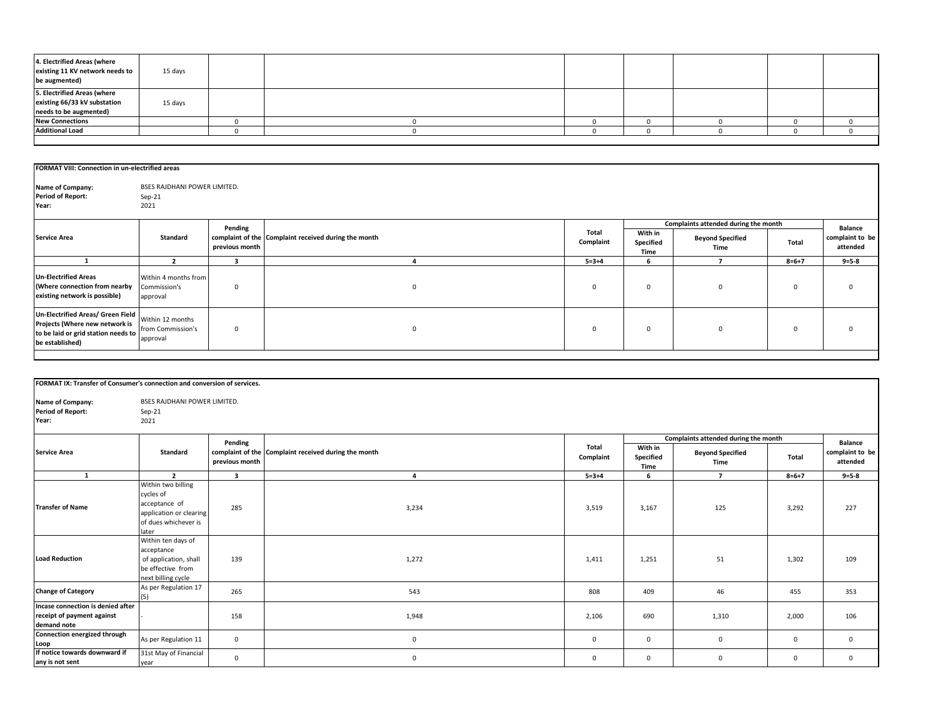| 4. Electrified Areas (where<br>existing 11 KV network needs to<br>be augmented)       | 15 days |  |  |  |  |
|---------------------------------------------------------------------------------------|---------|--|--|--|--|
| 5. Electrified Areas (where<br>existing 66/33 kV substation<br>needs to be augmented) | 15 days |  |  |  |  |
| <b>New Connections</b>                                                                |         |  |  |  |  |
| <b>Additional Load</b>                                                                |         |  |  |  |  |
|                                                                                       |         |  |  |  |  |

**complaint to be attended** 

## Sep-21 2021 **With in Specified Time Beyond Specified Time Total 2 3 4 5=3+4 6 7 8=6+7 9=5-8** Within 4 months from Commission's approval 0 0 0 0 0 0 0 Within 12 months from Commission's approval 0 0 0 0 0 0 0 **FORMAT VIII: Connection in un-electrified areas Name of Company:** BSES RAJDHANI POWER LIMITED. **Period of Report: Complaints attended during the month Balance 1 Un-Electrified Areas (Where connection from nearby existing network is possible) Un-Electrified Areas/ Green Field Projects (Where new network is to be laid or grid station needs to be established) Year:** Service Area **Standard 1986** Standard **Pending complaint of the complaint received during the month <b>and the second and the complaint of the complaint** received during the month **and the complaint**  $\epsilon$ **previous month Complaint**

| FORMAT IX: Transfer of Consumer's connection and conversion of services.       |                                                                                                                                    |                |                                                      |                    |                              |                                      |              |                             |
|--------------------------------------------------------------------------------|------------------------------------------------------------------------------------------------------------------------------------|----------------|------------------------------------------------------|--------------------|------------------------------|--------------------------------------|--------------|-----------------------------|
| Name of Company:<br><b>Period of Report:</b><br>Year:                          | <b>BSES RAJDHANI POWER LIMITED.</b><br>Sep-21<br>2021                                                                              |                |                                                      |                    |                              |                                      |              |                             |
|                                                                                |                                                                                                                                    | Pending        |                                                      |                    |                              | Complaints attended during the month |              | <b>Balance</b>              |
| <b>Service Area</b>                                                            | <b>Standard</b>                                                                                                                    | previous month | complaint of the Complaint received during the month | Total<br>Complaint | With in<br>Specified<br>Time | <b>Beyond Specified</b><br>Time      | Total        | complaint to be<br>attended |
| 1                                                                              | $\overline{2}$                                                                                                                     | $\overline{3}$ | $\overline{4}$                                       | $5 = 3 + 4$        | 6                            | $\overline{7}$                       | $8 = 6 + 7$  | $9 = 5 - 8$                 |
| <b>Transfer of Name</b>                                                        | Within two billing<br>cycles of<br>acceptance of<br>application or clearing<br>of dues whichever is<br>later<br>Within ten days of | 285            | 3,234                                                | 3,519              | 3,167                        | 125                                  | 3,292        | 227                         |
| <b>Load Reduction</b>                                                          | acceptance<br>of application, shall<br>be effective from<br>next billing cycle                                                     | 139            | 1,272                                                | 1,411              | 1,251                        | 51                                   | 1,302        | 109                         |
| <b>Change of Category</b>                                                      | As per Regulation 17<br>(5)                                                                                                        | 265            | 543                                                  | 808                | 409                          | 46                                   | 455          | 353                         |
| Incase connection is denied after<br>receipt of payment against<br>demand note |                                                                                                                                    | 158            | 1,948                                                | 2,106              | 690                          | 1,310                                | 2,000        | 106                         |
| Connection energized through<br>Loop                                           | As per Regulation 11                                                                                                               | $\mathbf 0$    | $\mathbf 0$                                          | $\mathbf 0$        | $\mathbf 0$                  | $\mathbf 0$                          | $\mathbf 0$  | $\mathbf 0$                 |
| If notice towards downward if<br>any is not sent                               | 31st May of Financial<br>year                                                                                                      | $\mathbf 0$    | $\mathbf 0$                                          | $\mathbf 0$        | $\mathbf 0$                  | $\mathbf 0$                          | $\mathbf{0}$ | $\mathbf{0}$                |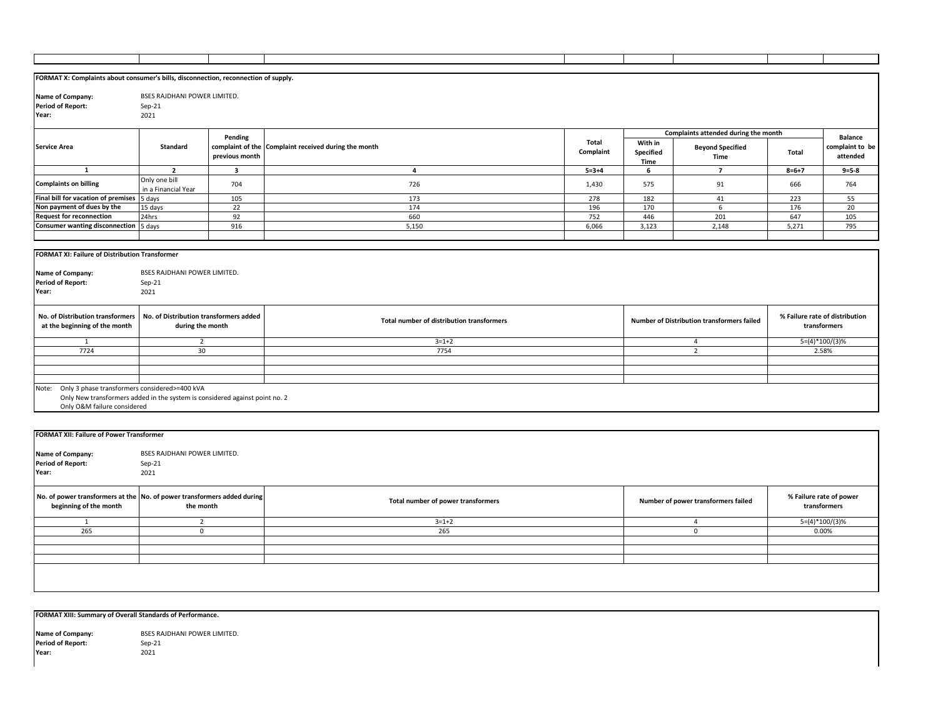| FORMAT X: Complaints about consumer's bills, disconnection, reconnection of supply. |                                        |                         |                                                      |             |           |                                            |                  |                                |
|-------------------------------------------------------------------------------------|----------------------------------------|-------------------------|------------------------------------------------------|-------------|-----------|--------------------------------------------|------------------|--------------------------------|
|                                                                                     |                                        |                         |                                                      |             |           |                                            |                  |                                |
| Name of Company:                                                                    | BSES RAJDHANI POWER LIMITED.           |                         |                                                      |             |           |                                            |                  |                                |
| <b>Period of Report:</b>                                                            | Sep-21                                 |                         |                                                      |             |           |                                            |                  |                                |
| Year:                                                                               | 2021                                   |                         |                                                      |             |           |                                            |                  |                                |
|                                                                                     |                                        |                         |                                                      |             |           |                                            |                  |                                |
|                                                                                     |                                        |                         |                                                      |             |           | Complaints attended during the month       |                  |                                |
|                                                                                     |                                        | Pending                 |                                                      | Total       | With in   |                                            |                  | <b>Balance</b>                 |
| <b>Service Area</b>                                                                 | <b>Standard</b>                        |                         | complaint of the Complaint received during the month | Complaint   | Specified | <b>Beyond Specified</b>                    | Total            | complaint to be                |
|                                                                                     |                                        | previous month          |                                                      |             | Time      | Time                                       |                  | attended                       |
| $\mathbf{1}$                                                                        | $\overline{2}$                         | $\overline{\mathbf{3}}$ | $\overline{\mathbf{4}}$                              | $5 = 3 + 4$ | 6         | $\overline{7}$                             | $8 = 6 + 7$      | $9 = 5 - 8$                    |
|                                                                                     | Only one bill                          |                         |                                                      |             |           |                                            |                  |                                |
| <b>Complaints on billing</b>                                                        | in a Financial Year                    | 704                     | 726                                                  | 1,430       | 575       | 91                                         | 666              | 764                            |
| Final bill for vacation of premises 5 days                                          |                                        | 105                     | 173                                                  | 278         | 182       | 41                                         | 223              | 55                             |
| Non payment of dues by the                                                          | 15 days                                | 22                      | 174                                                  | 196         | 170       | 6                                          | 176              | 20                             |
| <b>Request for reconnection</b>                                                     | 24hrs                                  | 92                      | 660                                                  | 752         | 446       | 201                                        | 647              | 105                            |
| <b>Consumer wanting disconnection</b>                                               | 5 days                                 | 916                     | 5,150                                                | 6,066       | 3,123     | 2,148                                      | 5,271            | 795                            |
|                                                                                     |                                        |                         |                                                      |             |           |                                            |                  |                                |
|                                                                                     |                                        |                         |                                                      |             |           |                                            |                  |                                |
| FORMAT XI: Failure of Distribution Transformer                                      |                                        |                         |                                                      |             |           |                                            |                  |                                |
|                                                                                     |                                        |                         |                                                      |             |           |                                            |                  |                                |
| Name of Company:                                                                    | BSES RAJDHANI POWER LIMITED.           |                         |                                                      |             |           |                                            |                  |                                |
| <b>Period of Report:</b>                                                            | Sep-21                                 |                         |                                                      |             |           |                                            |                  |                                |
| Year:                                                                               |                                        |                         |                                                      |             |           |                                            |                  |                                |
|                                                                                     |                                        |                         |                                                      |             |           |                                            |                  |                                |
|                                                                                     | 2021                                   |                         |                                                      |             |           |                                            |                  |                                |
|                                                                                     |                                        |                         |                                                      |             |           |                                            |                  |                                |
| No. of Distribution transformers                                                    | No. of Distribution transformers added |                         |                                                      |             |           |                                            |                  | % Failure rate of distribution |
| at the beginning of the month                                                       | during the month                       |                         | Total number of distribution transformers            |             |           | Number of Distribution transformers failed |                  | transformers                   |
|                                                                                     |                                        |                         |                                                      |             |           |                                            |                  |                                |
| 1                                                                                   | $\overline{2}$                         |                         | $3=1+2$                                              |             |           | 4                                          |                  | $5=(4)*100/(3)%$               |
| 7724                                                                                | 30                                     |                         | 7754                                                 |             |           | $\overline{2}$                             | 2.58%            |                                |
|                                                                                     |                                        |                         |                                                      |             |           |                                            |                  |                                |
|                                                                                     |                                        |                         |                                                      |             |           |                                            |                  |                                |
|                                                                                     |                                        |                         |                                                      |             |           |                                            |                  |                                |
| Note: Only 3 phase transformers considered>=400 kVA                                 |                                        |                         |                                                      |             |           |                                            |                  |                                |
| Only New transformers added in the system is considered against point no. 2         |                                        |                         |                                                      |             |           |                                            |                  |                                |
| Only O&M failure considered                                                         |                                        |                         |                                                      |             |           |                                            |                  |                                |
|                                                                                     |                                        |                         |                                                      |             |           |                                            |                  |                                |
|                                                                                     |                                        |                         |                                                      |             |           |                                            |                  |                                |
| <b>FORMAT XII: Failure of Power Transformer</b>                                     |                                        |                         |                                                      |             |           |                                            |                  |                                |
|                                                                                     |                                        |                         |                                                      |             |           |                                            |                  |                                |
| Name of Company:                                                                    | BSES RAJDHANI POWER LIMITED.           |                         |                                                      |             |           |                                            |                  |                                |
| <b>Period of Report:</b>                                                            | $Sep-21$                               |                         |                                                      |             |           |                                            |                  |                                |
| Year:                                                                               | 2021                                   |                         |                                                      |             |           |                                            |                  |                                |
|                                                                                     |                                        |                         |                                                      |             |           |                                            |                  |                                |
|                                                                                     |                                        |                         |                                                      |             |           |                                            |                  |                                |
| No. of power transformers at the No. of power transformers added during             |                                        |                         | Total number of power transformers                   |             |           | Number of power transformers failed        |                  | % Failure rate of power        |
| beginning of the month                                                              | the month                              |                         |                                                      |             |           |                                            |                  | transformers                   |
| 1                                                                                   | $\overline{2}$                         |                         | $3 = 1 + 2$                                          |             |           | $\overline{4}$                             | $5=(4)*100/(3)%$ |                                |
| 265                                                                                 | $\mathbf{0}$                           |                         | 265                                                  |             |           | $\mathsf 0$                                | 0.00%            |                                |
|                                                                                     |                                        |                         |                                                      |             |           |                                            |                  |                                |
|                                                                                     |                                        |                         |                                                      |             |           |                                            |                  |                                |
|                                                                                     |                                        |                         |                                                      |             |           |                                            |                  |                                |

**FORMAT XIII: Summary of Overall Standards of Performance.**

Sep-21 2021 **Name of Company:** BSES RAJDHANI POWER LIMITED. **Period of Report: Year:**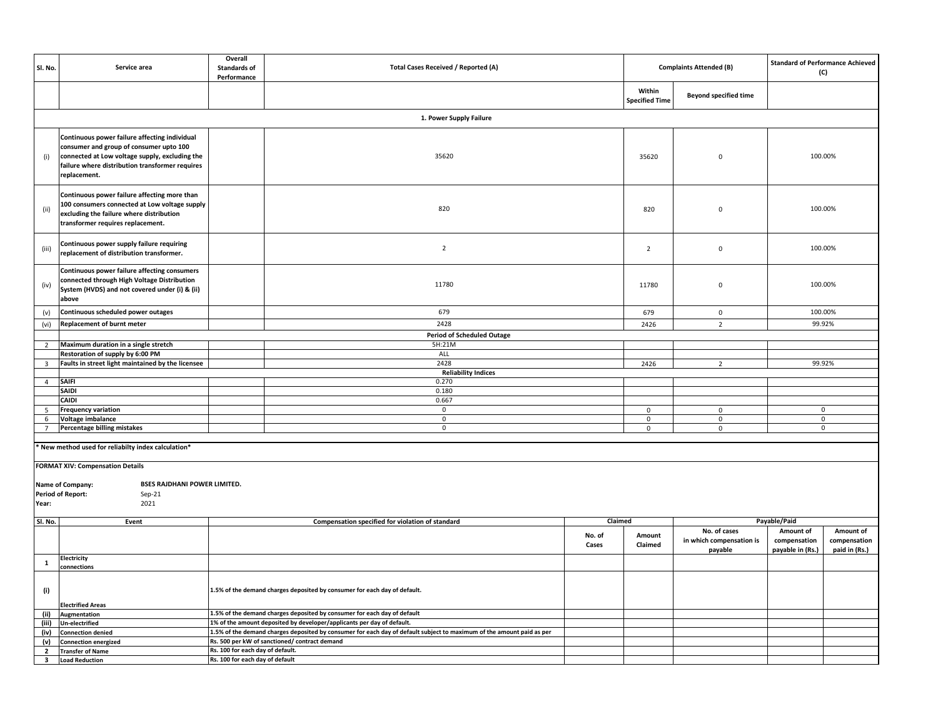| Sl. No.                 | Service area                                                                                                                                                                                                  | Overall<br><b>Standards of</b><br>Performance | <b>Total Cases Received / Reported (A)</b>                                                                            |                 |                                 | <b>Complaints Attended (B)</b>                      | <b>Standard of Performance Achieved</b>       | (C)                                        |
|-------------------------|---------------------------------------------------------------------------------------------------------------------------------------------------------------------------------------------------------------|-----------------------------------------------|-----------------------------------------------------------------------------------------------------------------------|-----------------|---------------------------------|-----------------------------------------------------|-----------------------------------------------|--------------------------------------------|
|                         |                                                                                                                                                                                                               |                                               |                                                                                                                       |                 | Within<br><b>Specified Time</b> | <b>Beyond specified time</b>                        |                                               |                                            |
|                         |                                                                                                                                                                                                               |                                               | 1. Power Supply Failure                                                                                               |                 |                                 |                                                     |                                               |                                            |
| (i)                     | Continuous power failure affecting individual<br>consumer and group of consumer upto 100<br>connected at Low voltage supply, excluding the<br>failure where distribution transformer requires<br>replacement. |                                               | 35620                                                                                                                 |                 | 35620                           | $\mathbf 0$                                         |                                               | 100.00%                                    |
| (ii)                    | Continuous power failure affecting more than<br>100 consumers connected at Low voltage supply<br>excluding the failure where distribution<br>transformer requires replacement.                                |                                               | 820                                                                                                                   |                 | 820                             | $\mathbf 0$                                         |                                               | 100.00%                                    |
| (iii)                   | Continuous power supply failure requiring<br>replacement of distribution transformer.                                                                                                                         |                                               | $\overline{2}$                                                                                                        |                 | $\overline{2}$                  | $\mathbf 0$                                         |                                               | 100.00%                                    |
| (iv)                    | Continuous power failure affecting consumers<br>connected through High Voltage Distribution<br>System (HVDS) and not covered under (i) & (ii)<br>above                                                        |                                               | 11780                                                                                                                 |                 | 11780                           | $\mathbf 0$                                         |                                               | 100.00%                                    |
| (v)                     | Continuous scheduled power outages                                                                                                                                                                            |                                               | 679                                                                                                                   |                 | 679                             | $\mathbf 0$                                         |                                               | 100.00%                                    |
| (vi)                    | <b>Replacement of burnt meter</b>                                                                                                                                                                             |                                               | 2428                                                                                                                  |                 | 2426                            | $\overline{2}$                                      | 99.92%                                        |                                            |
|                         |                                                                                                                                                                                                               |                                               | <b>Period of Scheduled Outage</b>                                                                                     |                 |                                 |                                                     |                                               |                                            |
| $\overline{2}$          | Maximum duration in a single stretch                                                                                                                                                                          |                                               | 5H:21M                                                                                                                |                 |                                 |                                                     |                                               |                                            |
|                         | Restoration of supply by 6:00 PM                                                                                                                                                                              |                                               | ALL                                                                                                                   |                 |                                 |                                                     |                                               |                                            |
| $\overline{\mathbf{3}}$ | Faults in street light maintained by the licensee                                                                                                                                                             |                                               | 2428                                                                                                                  |                 | 2426                            | $\overline{2}$                                      |                                               | 99.92%                                     |
|                         |                                                                                                                                                                                                               |                                               | <b>Reliability Indices</b>                                                                                            |                 |                                 |                                                     |                                               |                                            |
| $\overline{4}$          | SAIFI                                                                                                                                                                                                         |                                               | 0.270                                                                                                                 |                 |                                 |                                                     |                                               |                                            |
|                         | <b>SAIDI</b><br><b>CAIDI</b>                                                                                                                                                                                  |                                               | 0.180                                                                                                                 |                 |                                 |                                                     |                                               |                                            |
|                         | <b>Frequency variation</b>                                                                                                                                                                                    |                                               | 0.667<br>$\mathbf 0$                                                                                                  |                 | $\mathbf 0$                     | $\mathbf{0}$                                        |                                               | $\mathbf 0$                                |
| 5                       |                                                                                                                                                                                                               |                                               | $\,0\,$                                                                                                               |                 |                                 |                                                     |                                               | $\mathbf 0$                                |
| 6                       | Voltage imbalance                                                                                                                                                                                             |                                               | $\pmb{0}$                                                                                                             |                 | $\mathsf 0$<br>$\mathsf 0$      | $\mathsf{O}\xspace$<br>$\mathsf 0$                  |                                               | 0                                          |
| $7\overline{ }$         | Percentage billing mistakes                                                                                                                                                                                   |                                               |                                                                                                                       |                 |                                 |                                                     |                                               |                                            |
|                         | New method used for reliabilty index calculation*<br><b>FORMAT XIV: Compensation Details</b>                                                                                                                  |                                               |                                                                                                                       |                 |                                 |                                                     |                                               |                                            |
| Year:                   | <b>BSES RAJDHANI POWER LIMITED.</b><br>Name of Company:<br><b>Period of Report:</b><br>Sep-21<br>2021                                                                                                         |                                               |                                                                                                                       |                 |                                 |                                                     |                                               |                                            |
| Sl. No.                 | Event                                                                                                                                                                                                         |                                               | Compensation specified for violation of standard                                                                      | Claimed         |                                 |                                                     | Payable/Paid                                  |                                            |
|                         |                                                                                                                                                                                                               |                                               |                                                                                                                       | No. of<br>Cases | Amount<br>Claimed               | No. of cases<br>in which compensation is<br>payable | Amount of<br>compensation<br>payable in (Rs.) | Amount of<br>compensation<br>paid in (Rs.) |
| $\mathbf{1}$            | Electricity<br>connections                                                                                                                                                                                    |                                               |                                                                                                                       |                 |                                 |                                                     |                                               |                                            |
| (i)                     | <b>Electrified Areas</b>                                                                                                                                                                                      |                                               | 1.5% of the demand charges deposited by consumer for each day of default.                                             |                 |                                 |                                                     |                                               |                                            |
| (ii)                    | Augmentation                                                                                                                                                                                                  |                                               | 1.5% of the demand charges deposited by consumer for each day of default                                              |                 |                                 |                                                     |                                               |                                            |
| (iii)                   | <b>Un-electrified</b>                                                                                                                                                                                         |                                               | 1% of the amount deposited by developer/applicants per day of default.                                                |                 |                                 |                                                     |                                               |                                            |
| (iv)                    | <b>Connection denied</b>                                                                                                                                                                                      |                                               | 1.5% of the demand charges deposited by consumer for each day of default subject to maximum of the amount paid as per |                 |                                 |                                                     |                                               |                                            |
| (v)                     | <b>Connection energized</b>                                                                                                                                                                                   |                                               | Rs. 500 per kW of sanctioned/ contract demand                                                                         |                 |                                 |                                                     |                                               |                                            |
| $\overline{2}$          | <b>Transfer of Name</b>                                                                                                                                                                                       | Rs. 100 for each day of default.              |                                                                                                                       |                 |                                 |                                                     |                                               |                                            |
| $\overline{\mathbf{3}}$ | <b>Load Reduction</b>                                                                                                                                                                                         | Rs. 100 for each day of default               |                                                                                                                       |                 |                                 |                                                     |                                               |                                            |